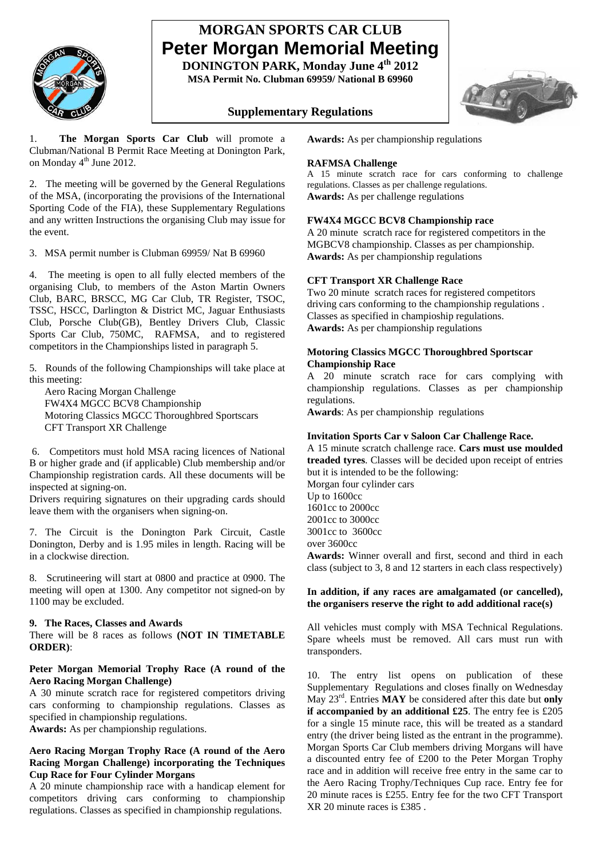

# **MORGAN SPORTS CAR CLUB Peter Morgan Memorial Meeting**

**DONINGTON PARK, Monday June 4th 2012 MSA Permit No. Clubman 69959/ National B 69960** 

# **Supplementary Regulations**



1. **The Morgan Sports Car Club** will promote a Clubman/National B Permit Race Meeting at Donington Park, on Monday 4<sup>th</sup> June 2012.

2. The meeting will be governed by the General Regulations of the MSA, (incorporating the provisions of the International Sporting Code of the FIA), these Supplementary Regulations and any written Instructions the organising Club may issue for the event.

3. MSA permit number is Clubman 69959/ Nat B 69960

4. The meeting is open to all fully elected members of the organising Club, to members of the Aston Martin Owners Club, BARC, BRSCC, MG Car Club, TR Register, TSOC, TSSC, HSCC, Darlington & District MC, Jaguar Enthusiasts Club, Porsche Club(GB), Bentley Drivers Club, Classic Sports Car Club, 750MC, RAFMSA, and to registered competitors in the Championships listed in paragraph 5.

5. Rounds of the following Championships will take place at this meeting:

 Aero Racing Morgan Challenge FW4X4 MGCC BCV8 Championship Motoring Classics MGCC Thoroughbred Sportscars CFT Transport XR Challenge

 6. Competitors must hold MSA racing licences of National B or higher grade and (if applicable) Club membership and/or Championship registration cards. All these documents will be inspected at signing-on.

Drivers requiring signatures on their upgrading cards should leave them with the organisers when signing-on.

7. The Circuit is the Donington Park Circuit, Castle Donington, Derby and is 1.95 miles in length. Racing will be in a clockwise direction.

8. Scrutineering will start at 0800 and practice at 0900. The meeting will open at 1300. Any competitor not signed-on by 1100 may be excluded.

#### **9. The Races, Classes and Awards**

There will be 8 races as follows **(NOT IN TIMETABLE ORDER)**:

## **Peter Morgan Memorial Trophy Race (A round of the Aero Racing Morgan Challenge)**

A 30 minute scratch race for registered competitors driving cars conforming to championship regulations. Classes as specified in championship regulations.

**Awards:** As per championship regulations.

#### **Aero Racing Morgan Trophy Race (A round of the Aero Racing Morgan Challenge) incorporating the Techniques Cup Race for Four Cylinder Morgans**

A 20 minute championship race with a handicap element for competitors driving cars conforming to championship regulations. Classes as specified in championship regulations.

**Awards:** As per championship regulations

# **RAFMSA Challenge**

A 15 minute scratch race for cars conforming to challenge regulations. Classes as per challenge regulations. **Awards:** As per challenge regulations

## **FW4X4 MGCC BCV8 Championship race**

A 20 minute scratch race for registered competitors in the MGBCV8 championship. Classes as per championship. **Awards:** As per championship regulations

## **CFT Transport XR Challenge Race**

Two 20 minute scratch races for registered competitors driving cars conforming to the championship regulations . Classes as specified in champioship regulations. **Awards:** As per championship regulations

#### **Motoring Classics MGCC Thoroughbred Sportscar Championship Race**

A 20 minute scratch race for cars complying with championship regulations. Classes as per championship regulations.

**Awards**: As per championship regulations

# **Invitation Sports Car v Saloon Car Challenge Race.**

A 15 minute scratch challenge race. **Cars must use moulded treaded tyres**. Classes will be decided upon receipt of entries but it is intended to be the following:

Morgan four cylinder cars Up to 1600cc 1601cc to 2000cc 2001cc to 3000cc 3001cc to 3600cc over 3600cc

**Awards:** Winner overall and first, second and third in each class (subject to 3, 8 and 12 starters in each class respectively)

## **In addition, if any races are amalgamated (or cancelled), the organisers reserve the right to add additional race(s)**

All vehicles must comply with MSA Technical Regulations. Spare wheels must be removed. All cars must run with transponders.

10. The entry list opens on publication of these Supplementary Regulations and closes finally on Wednesday May 23rd. Entries **MAY** be considered after this date but **only if accompanied by an additional £25**. The entry fee is £205 for a single 15 minute race, this will be treated as a standard entry (the driver being listed as the entrant in the programme). Morgan Sports Car Club members driving Morgans will have a discounted entry fee of £200 to the Peter Morgan Trophy race and in addition will receive free entry in the same car to the Aero Racing Trophy/Techniques Cup race. Entry fee for 20 minute races is £255. Entry fee for the two CFT Transport XR 20 minute races is £385 .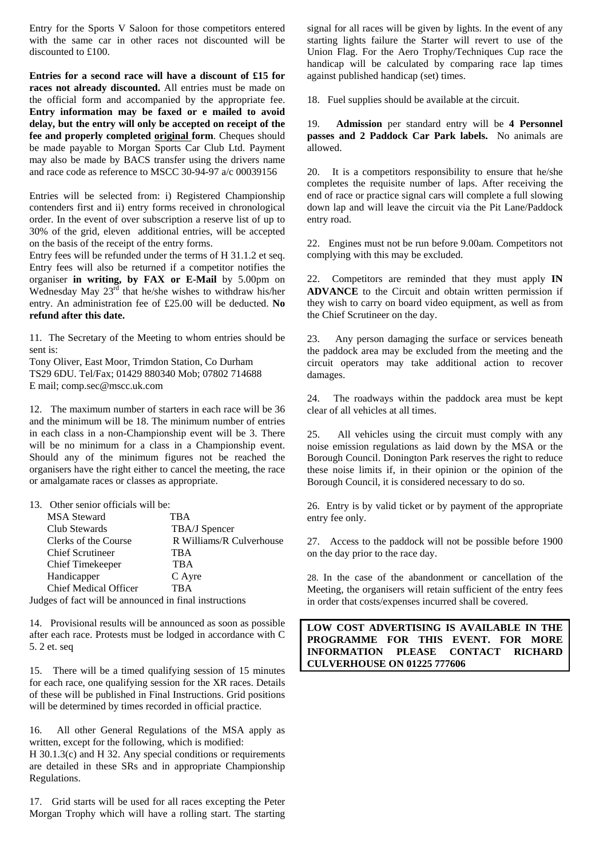Entry for the Sports V Saloon for those competitors entered with the same car in other races not discounted will be discounted to £100.

**Entries for a second race will have a discount of £15 for races not already discounted.** All entries must be made on the official form and accompanied by the appropriate fee. **Entry information may be faxed or e mailed to avoid delay, but the entry will only be accepted on receipt of the fee and properly completed original form**. Cheques should be made payable to Morgan Sports Car Club Ltd. Payment may also be made by BACS transfer using the drivers name and race code as reference to MSCC 30-94-97 a/c 00039156

Entries will be selected from: i) Registered Championship contenders first and ii) entry forms received in chronological order. In the event of over subscription a reserve list of up to 30% of the grid, eleven additional entries, will be accepted on the basis of the receipt of the entry forms.

Entry fees will be refunded under the terms of H 31.1.2 et seq. Entry fees will also be returned if a competitor notifies the organiser **in writing, by FAX or E-Mail** by 5.00pm on Wednesday May  $23^{rd}$  that he/she wishes to withdraw his/her entry. An administration fee of £25.00 will be deducted. **No refund after this date.** 

11. The Secretary of the Meeting to whom entries should be sent is:

Tony Oliver, East Moor, Trimdon Station, Co Durham TS29 6DU. Tel/Fax; 01429 880340 Mob; 07802 714688 E mail; comp.sec@mscc.uk.com

12. The maximum number of starters in each race will be 36 and the minimum will be 18. The minimum number of entries in each class in a non-Championship event will be 3. There will be no minimum for a class in a Championship event. Should any of the minimum figures not be reached the organisers have the right either to cancel the meeting, the race or amalgamate races or classes as appropriate.

13. Other senior officials will be:

| <b>MSA Steward</b>                                     | TBA                      |
|--------------------------------------------------------|--------------------------|
| Club Stewards                                          | TBA/J Spencer            |
| Clerks of the Course                                   | R Williams/R Culverhouse |
| <b>Chief Scrutineer</b>                                | TBA                      |
| Chief Timekeeper                                       | TB A                     |
| Handicapper                                            | C Ayre                   |
| <b>Chief Medical Officer</b>                           | <b>TRA</b>               |
| Indoes of fact will be announced in final instructions |                          |

Judges of fact will be announced in final instructions

14. Provisional results will be announced as soon as possible after each race. Protests must be lodged in accordance with C 5. 2 et. seq

15. There will be a timed qualifying session of 15 minutes for each race, one qualifying session for the XR races. Details of these will be published in Final Instructions. Grid positions will be determined by times recorded in official practice.

16. All other General Regulations of the MSA apply as written, except for the following, which is modified: H 30.1.3(c) and H 32. Any special conditions or requirements are detailed in these SRs and in appropriate Championship Regulations.

17. Grid starts will be used for all races excepting the Peter Morgan Trophy which will have a rolling start. The starting

signal for all races will be given by lights. In the event of any starting lights failure the Starter will revert to use of the Union Flag. For the Aero Trophy/Techniques Cup race the handicap will be calculated by comparing race lap times against published handicap (set) times.

18. Fuel supplies should be available at the circuit.

19. **Admission** per standard entry will be **4 Personnel passes and 2 Paddock Car Park labels.** No animals are allowed.

20. It is a competitors responsibility to ensure that he/she completes the requisite number of laps. After receiving the end of race or practice signal cars will complete a full slowing down lap and will leave the circuit via the Pit Lane/Paddock entry road.

22. Engines must not be run before 9.00am. Competitors not complying with this may be excluded.

22. Competitors are reminded that they must apply **IN ADVANCE** to the Circuit and obtain written permission if they wish to carry on board video equipment, as well as from the Chief Scrutineer on the day.

23. Any person damaging the surface or services beneath the paddock area may be excluded from the meeting and the circuit operators may take additional action to recover damages.

24. The roadways within the paddock area must be kept clear of all vehicles at all times.

25. All vehicles using the circuit must comply with any noise emission regulations as laid down by the MSA or the Borough Council. Donington Park reserves the right to reduce these noise limits if, in their opinion or the opinion of the Borough Council, it is considered necessary to do so.

26. Entry is by valid ticket or by payment of the appropriate entry fee only.

27. Access to the paddock will not be possible before 1900 on the day prior to the race day.

28. In the case of the abandonment or cancellation of the Meeting, the organisers will retain sufficient of the entry fees in order that costs/expenses incurred shall be covered.

**LOW COST ADVERTISING IS AVAILABLE IN THE PROGRAMME FOR THIS EVENT. FOR MORE INFORMATION PLEASE CONTACT RICHARD CULVERHOUSE ON 01225 777606**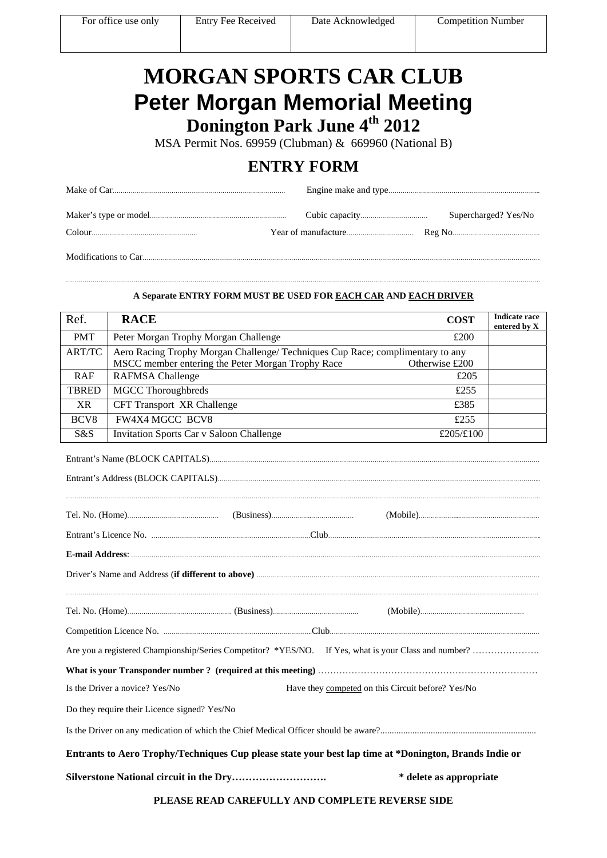# **MORGAN SPORTS CAR CLUB Peter Morgan Memorial Meeting Donington Park June 4th 2012**

MSA Permit Nos. 69959 (Clubman) & 669960 (National B)

# **ENTRY FORM**

#### …………………………………………………………………………………………………………………………………………………………………………………………………………….. **A Separate ENTRY FORM MUST BE USED FOR EACH CAR AND EACH DRIVER**

| Ref.             | <b>RACE</b><br><b>COST</b>                                                                                                                            | <b>Indicate race</b><br>entered by X |
|------------------|-------------------------------------------------------------------------------------------------------------------------------------------------------|--------------------------------------|
| <b>PMT</b>       | Peter Morgan Trophy Morgan Challenge<br>£200                                                                                                          |                                      |
| <b>ART/TC</b>    | Aero Racing Trophy Morgan Challenge/ Techniques Cup Race; complimentary to any<br>MSCC member entering the Peter Morgan Trophy Race<br>Otherwise £200 |                                      |
| <b>RAF</b>       | <b>RAFMSA</b> Challenge<br>£205                                                                                                                       |                                      |
| <b>TBRED</b>     | <b>MGCC</b> Thoroughbreds<br>£255                                                                                                                     |                                      |
| <b>XR</b>        | <b>CFT Transport XR Challenge</b><br>£385                                                                                                             |                                      |
| BCV <sub>8</sub> | <b>FW4X4 MGCC BCV8</b><br>£255                                                                                                                        |                                      |
| S&S              | <b>Invitation Sports Car v Saloon Challenge</b><br>£205/£100                                                                                          |                                      |
|                  |                                                                                                                                                       |                                      |
|                  |                                                                                                                                                       |                                      |
|                  | Entrant's Licence No. <b>Entrant's Licence No.</b> 2014.                                                                                              |                                      |
|                  |                                                                                                                                                       |                                      |
|                  |                                                                                                                                                       |                                      |
|                  |                                                                                                                                                       |                                      |
|                  |                                                                                                                                                       |                                      |
|                  |                                                                                                                                                       |                                      |
|                  | Have they competed on this Circuit before? Yes/No<br>Is the Driver a novice? Yes/No                                                                   |                                      |
|                  | Do they require their Licence signed? Yes/No                                                                                                          |                                      |
|                  |                                                                                                                                                       |                                      |
|                  | Entrants to Aero Trophy/Techniques Cup please state your best lap time at *Donington, Brands Indie or                                                 |                                      |
|                  | * delete as appropriate                                                                                                                               |                                      |

**PLEASE READ CAREFULLY AND COMPLETE REVERSE SIDE**